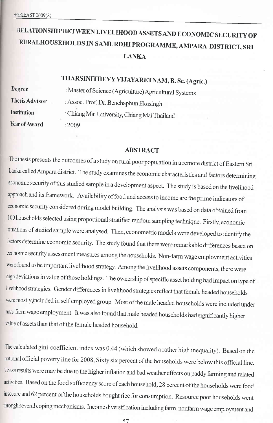# RELATIONSHIP BETWEEN LIVELIHOOD ASSETS AND ECONOMIC SECURITY OF RURALHOUSEHOLDS IN SAMURDHI PROGRAMME, AMPARA DISTRICT, SRI LANKA

# THARSINITHEVY UJAYARETNAM, B. Sc. (Agric.)

Degree ThesisAdvisor **Institution** Year of Award

: Master of Science (Agriculture) Agricultural Systems : Assoc. Prof. Dr. Benchaphun Ekasingh : ChiangMai University, ChiangMai Thailand :2009

#### ABSTRACT

The thesis presents the outcomes of a study on rural poor population in a remote district of Eastern Sri Lanka calledAmpara district. The study examines the economic characteristics and factors determining economic security ofthis studied sample in a development aspect. The study is based on the livelihood approach and its framework. Availability of food and access to income are the prime indicators of economic security considered during model building. The analysis was based on data obtained from <sup>100</sup>households selected using proportional stratified random sampling technique. Firstly, economic situations of studied sample were analysed. Then, econometric models were developed to identify the factors determine economic security. The study found that there were remarkable differences based on economic security assessment measures among the households. Non-farm wage employment activities were found to be important livelihood strategy. Among the livelihood assets components, there were high deviations in value of those holdings. The ownership of specific asset holding had impact on type of livelihood strategies. Gender differences in livelihood strategies reflect that female headed households were mostly included in self employed group. Most of the male headed households were included under non- farm wage employment. It was also found that male headed households had significantly higher value of assets than that of the female headed household.

The calculated gini-coefficient index was 0.44 (which showed a rather high inequality). Based on the national official poverty line for 2008, Sixty six percent of the households were below this ofhcial line. These results were may be due to the higher inflation and bad weather effects on paddy farming and related activities. Based on the food sufficiency score of each household, 28 percent of the households were food insecure and 62 percent of the households bought rice for consumption. Resource poor households went through several coping mechanisms. Income diversification including farm, nonfarm wage employment and

57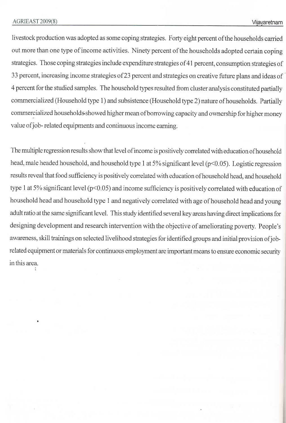livestock production was adopted as some coping strategies. Forty eight percent of the households carried out more than one type of income activities. Ninety percent of the households adopted certain coping strategies. Those coping strategies include expenditure strategies of 41 percent, consumption strategies of 33 percent, increasing income strategies of23 percent and strategies on creative future plans and ideas of 4 percent for the studied samples. The household fypes resulted from cluster analysis constituted partially commercialized (Household type 1) and subsistence (Household type 2) nature of households. Partially commercialized households showed higher mean of borrowing capacity and ownership for higher money value of job- related equipments and continuous income earning.

The multiple regression results show that level of income is positively correlated with education of household head, male headed household, and household type 1 at 5% significant level (p<0.05). Logistic regression results reveal that food sufficiency is positively correlated with education ofhousehold head, and household type 1 at 5% significant level ( $p<0.05$ ) and income sufficiency is positively correlated with education of household head and household type 1 and negatively correlated with age of household head and young adult ratio at the same significant level. This study identified several key areas having direct implications for designing development and research intervention with the objective of ameliorating poverty. People's awareness, skill trainings on selected livelihood strategies for identified groups and initial provision ofjobrelated equipment or materials for continuous employnent are important means to ensure economic security inthis area.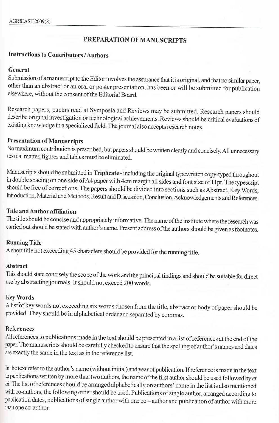## PREPARATION OF MANUSCRIPTS

### Instructions to Contributors /Authors

### General

Submission of a manuscript to the Editor involves the assurance that it is original, and that no similar paper, other than an abstract or an oral or poster presentation, has been or will be submitted for publication elsewhere, without the consent of the Editorial Board.

Research papers, papers read at Symposia and Reviews may be submitted. Research papers should describe original investigation or technological achievements. Reviews should be critical evaluations of existing knowledge in a specialized field. The journal also accepts research notes.

## Presentation of Manuscripts

No maximum contribution is prescribed, but papers should be written clearly and concisely. All unnecessary textual matter, figures and tables must be eliminated.

Manuscripts should be submitted in Triplicate - including the original typewritten copy-typed throughout in double spacing on one side of A4 paper with 4cm margin all sides and font size of 11pt. The typescript should be free of corrections. The papers should be divided into sections such as Abstract, Key Words, Introduction, Material and Methods, Result and Discussion, Conclusion, Acknowledgements and References.

## Title and Author affiliation

The title should be concise and appropriately informative. The name of the institute where the research was carried out should be stated with author's name. Present address of the authors should be given as footnotes.

## **Running Title**

A short title not exceeding 45 characters should be provided for the running title.

### Abstract

This should state concisely the scope ofthe work and the principal findings and should be suitable for direct use by abstractingjoumals. It should not exceed 200 words.

## KeyWords

A list of key words not exceeding six words chosen from the title, abstract or body of paper should be provided. They should be in alphabetical order and separated by commas.

## References

All references to publications made in the text should be presented in a list ofreferences at the end of the paper. The manuscripts should be carefully checked to ensure that the spelling of author's names and dates are exactly the same in the text as in the reference list.

In the text refer to the author's name (without initial) and year of publication. If reference is made in the text to publications written by more than two authors, the name of the first author should be used followed by et ai. The list of references should be arranged alphabetically on authors' name in the list is also mentioned with co-authots, the following order should be used. Publicalions of single author, arranged according to publication dates, publications of single author with one co - author and publication of author with more than one co-author.